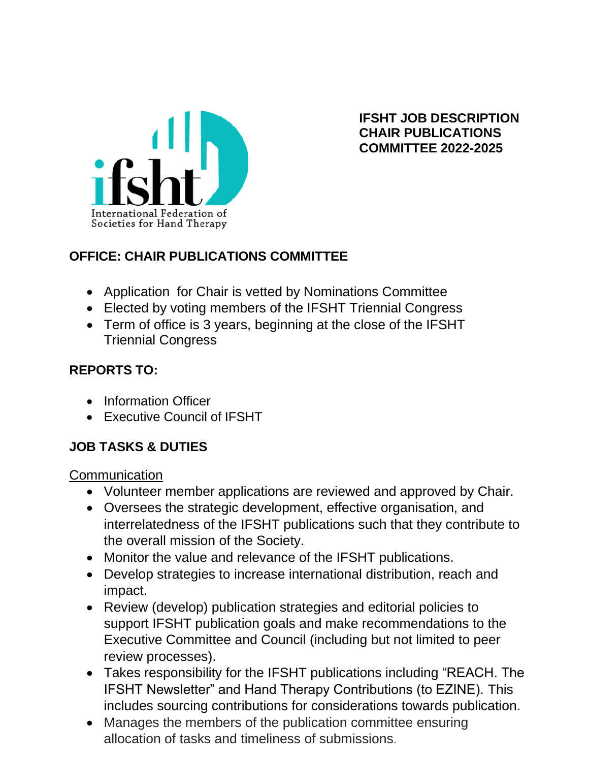

**IFSHT JOB DESCRIPTION CHAIR PUBLICATIONS COMMITTEE 2022-2025**

### **OFFICE: CHAIR PUBLICATIONS COMMITTEE**

- Application for Chair is vetted by Nominations Committee
- Elected by voting members of the IFSHT Triennial Congress
- Term of office is 3 years, beginning at the close of the IFSHT Triennial Congress

#### **REPORTS TO:**

- Information Officer
- Executive Council of IFSHT

#### **JOB TASKS & DUTIES**

**Communication** 

- Volunteer member applications are reviewed and approved by Chair.
- Oversees the strategic development, effective organisation, and interrelatedness of the IFSHT publications such that they contribute to the overall mission of the Society.
- Monitor the value and relevance of the IFSHT publications.
- Develop strategies to increase international distribution, reach and impact.
- Review (develop) publication strategies and editorial policies to support IFSHT publication goals and make recommendations to the Executive Committee and Council (including but not limited to peer review processes).
- Takes responsibility for the IFSHT publications including "REACH. The IFSHT Newsletter" and Hand Therapy Contributions (to EZINE). This includes sourcing contributions for considerations towards publication.
- Manages the members of the publication committee ensuring allocation of tasks and timeliness of submissions.